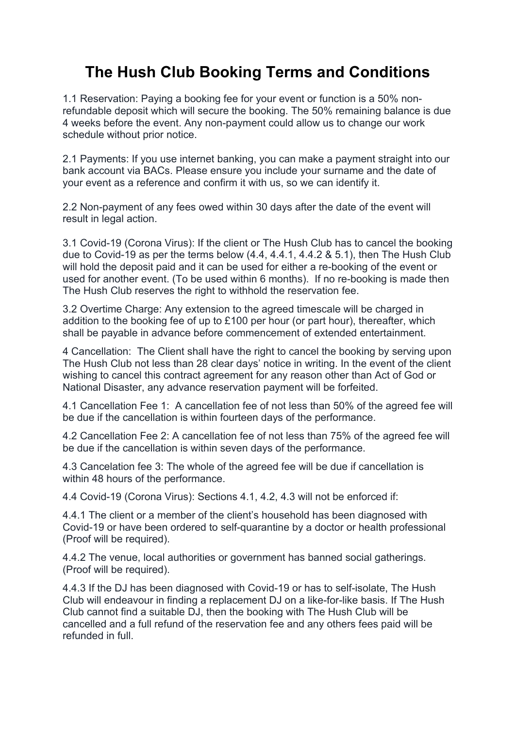## **The Hush Club Booking Terms and Conditions**

1.1 Reservation: Paying a booking fee for your event or function is a 50% nonrefundable deposit which will secure the booking. The 50% remaining balance is due 4 weeks before the event. Any non-payment could allow us to change our work schedule without prior notice.

2.1 Payments: If you use internet banking, you can make a payment straight into our bank account via BACs. Please ensure you include your surname and the date of your event as a reference and confirm it with us, so we can identify it.

2.2 Non-payment of any fees owed within 30 days after the date of the event will result in legal action.

3.1 Covid-19 (Corona Virus): If the client or The Hush Club has to cancel the booking due to Covid-19 as per the terms below (4.4, 4.4.1, 4.4.2 & 5.1), then The Hush Club will hold the deposit paid and it can be used for either a re-booking of the event or used for another event. (To be used within 6 months). If no re-booking is made then The Hush Club reserves the right to withhold the reservation fee.

3.2 Overtime Charge: Any extension to the agreed timescale will be charged in addition to the booking fee of up to £100 per hour (or part hour), thereafter, which shall be payable in advance before commencement of extended entertainment.

4 Cancellation: The Client shall have the right to cancel the booking by serving upon The Hush Club not less than 28 clear days' notice in writing. In the event of the client wishing to cancel this contract agreement for any reason other than Act of God or National Disaster, any advance reservation payment will be forfeited.

4.1 Cancellation Fee 1: A cancellation fee of not less than 50% of the agreed fee will be due if the cancellation is within fourteen days of the performance.

4.2 Cancellation Fee 2: A cancellation fee of not less than 75% of the agreed fee will be due if the cancellation is within seven days of the performance.

4.3 Cancelation fee 3: The whole of the agreed fee will be due if cancellation is within 48 hours of the performance.

4.4 Covid-19 (Corona Virus): Sections 4.1, 4.2, 4.3 will not be enforced if:

4.4.1 The client or a member of the client's household has been diagnosed with Covid-19 or have been ordered to self-quarantine by a doctor or health professional (Proof will be required).

4.4.2 The venue, local authorities or government has banned social gatherings. (Proof will be required).

4.4.3 If the DJ has been diagnosed with Covid-19 or has to self-isolate, The Hush Club will endeavour in finding a replacement DJ on a like-for-like basis. If The Hush Club cannot find a suitable DJ, then the booking with The Hush Club will be cancelled and a full refund of the reservation fee and any others fees paid will be refunded in full.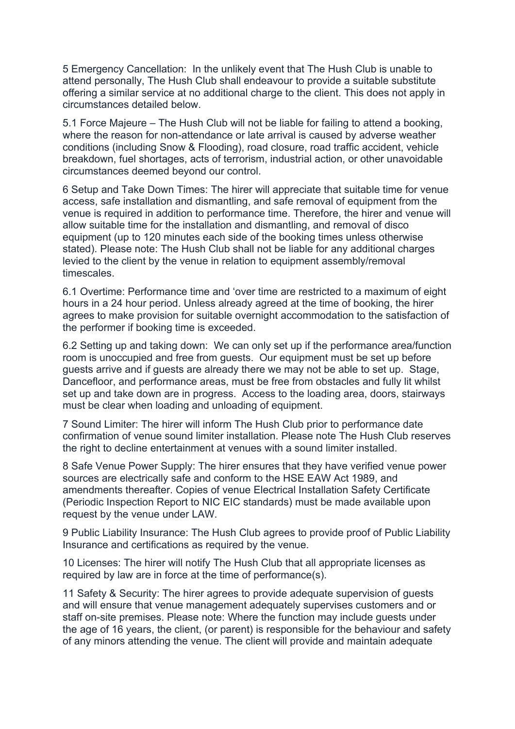5 Emergency Cancellation: In the unlikely event that The Hush Club is unable to attend personally, The Hush Club shall endeavour to provide a suitable substitute offering a similar service at no additional charge to the client. This does not apply in circumstances detailed below.

5.1 Force Majeure – The Hush Club will not be liable for failing to attend a booking, where the reason for non-attendance or late arrival is caused by adverse weather conditions (including Snow & Flooding), road closure, road traffic accident, vehicle breakdown, fuel shortages, acts of terrorism, industrial action, or other unavoidable circumstances deemed beyond our control.

6 Setup and Take Down Times: The hirer will appreciate that suitable time for venue access, safe installation and dismantling, and safe removal of equipment from the venue is required in addition to performance time. Therefore, the hirer and venue will allow suitable time for the installation and dismantling, and removal of disco equipment (up to 120 minutes each side of the booking times unless otherwise stated). Please note: The Hush Club shall not be liable for any additional charges levied to the client by the venue in relation to equipment assembly/removal timescales.

6.1 Overtime: Performance time and 'over time are restricted to a maximum of eight hours in a 24 hour period. Unless already agreed at the time of booking, the hirer agrees to make provision for suitable overnight accommodation to the satisfaction of the performer if booking time is exceeded.

6.2 Setting up and taking down: We can only set up if the performance area/function room is unoccupied and free from guests. Our equipment must be set up before guests arrive and if guests are already there we may not be able to set up. Stage, Dancefloor, and performance areas, must be free from obstacles and fully lit whilst set up and take down are in progress. Access to the loading area, doors, stairways must be clear when loading and unloading of equipment.

7 Sound Limiter: The hirer will inform The Hush Club prior to performance date confirmation of venue sound limiter installation. Please note The Hush Club reserves the right to decline entertainment at venues with a sound limiter installed.

8 Safe Venue Power Supply: The hirer ensures that they have verified venue power sources are electrically safe and conform to the HSE EAW Act 1989, and amendments thereafter. Copies of venue Electrical Installation Safety Certificate (Periodic Inspection Report to NIC EIC standards) must be made available upon request by the venue under LAW.

9 Public Liability Insurance: The Hush Club agrees to provide proof of Public Liability Insurance and certifications as required by the venue.

10 Licenses: The hirer will notify The Hush Club that all appropriate licenses as required by law are in force at the time of performance(s).

11 Safety & Security: The hirer agrees to provide adequate supervision of guests and will ensure that venue management adequately supervises customers and or staff on-site premises. Please note: Where the function may include guests under the age of 16 years, the client, (or parent) is responsible for the behaviour and safety of any minors attending the venue. The client will provide and maintain adequate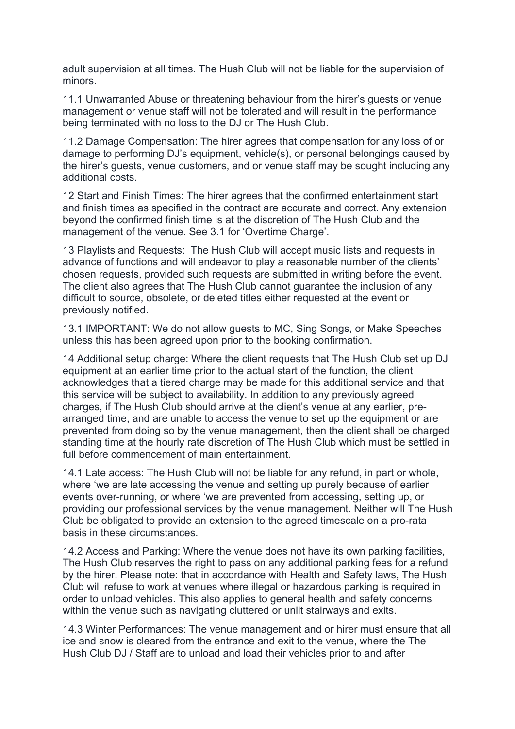adult supervision at all times. The Hush Club will not be liable for the supervision of minors.

11.1 Unwarranted Abuse or threatening behaviour from the hirer's guests or venue management or venue staff will not be tolerated and will result in the performance being terminated with no loss to the DJ or The Hush Club.

11.2 Damage Compensation: The hirer agrees that compensation for any loss of or damage to performing DJ's equipment, vehicle(s), or personal belongings caused by the hirer's guests, venue customers, and or venue staff may be sought including any additional costs.

12 Start and Finish Times: The hirer agrees that the confirmed entertainment start and finish times as specified in the contract are accurate and correct. Any extension beyond the confirmed finish time is at the discretion of The Hush Club and the management of the venue. See 3.1 for 'Overtime Charge'.

13 Playlists and Requests: The Hush Club will accept music lists and requests in advance of functions and will endeavor to play a reasonable number of the clients' chosen requests, provided such requests are submitted in writing before the event. The client also agrees that The Hush Club cannot guarantee the inclusion of any difficult to source, obsolete, or deleted titles either requested at the event or previously notified.

13.1 IMPORTANT: We do not allow guests to MC, Sing Songs, or Make Speeches unless this has been agreed upon prior to the booking confirmation.

14 Additional setup charge: Where the client requests that The Hush Club set up DJ equipment at an earlier time prior to the actual start of the function, the client acknowledges that a tiered charge may be made for this additional service and that this service will be subject to availability. In addition to any previously agreed charges, if The Hush Club should arrive at the client's venue at any earlier, prearranged time, and are unable to access the venue to set up the equipment or are prevented from doing so by the venue management, then the client shall be charged standing time at the hourly rate discretion of The Hush Club which must be settled in full before commencement of main entertainment.

14.1 Late access: The Hush Club will not be liable for any refund, in part or whole, where 'we are late accessing the venue and setting up purely because of earlier events over-running, or where 'we are prevented from accessing, setting up, or providing our professional services by the venue management. Neither will The Hush Club be obligated to provide an extension to the agreed timescale on a pro-rata basis in these circumstances.

14.2 Access and Parking: Where the venue does not have its own parking facilities, The Hush Club reserves the right to pass on any additional parking fees for a refund by the hirer. Please note: that in accordance with Health and Safety laws, The Hush Club will refuse to work at venues where illegal or hazardous parking is required in order to unload vehicles. This also applies to general health and safety concerns within the venue such as navigating cluttered or unlit stairways and exits.

14.3 Winter Performances: The venue management and or hirer must ensure that all ice and snow is cleared from the entrance and exit to the venue, where the The Hush Club DJ / Staff are to unload and load their vehicles prior to and after